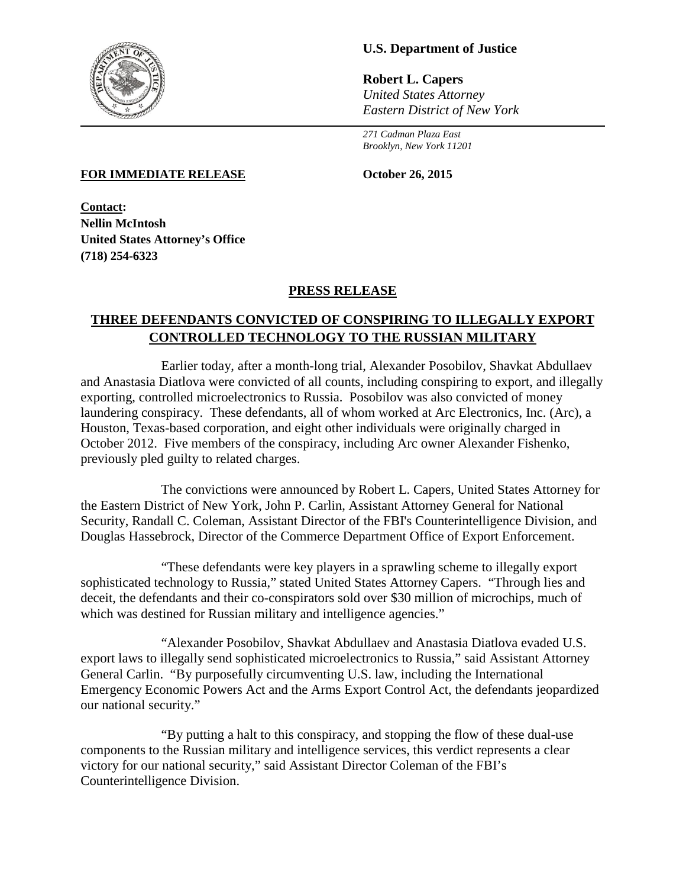

## **U.S. Department of Justice**

**Robert L. Capers** *United States Attorney Eastern District of New York*

*271 Cadman Plaza East Brooklyn, New York 11201*

#### **FOR IMMEDIATE RELEASE October 26, 2015**

**Contact: Nellin McIntosh United States Attorney's Office (718) 254-6323**

### **PRESS RELEASE**

# **THREE DEFENDANTS CONVICTED OF CONSPIRING TO ILLEGALLY EXPORT CONTROLLED TECHNOLOGY TO THE RUSSIAN MILITARY**

Earlier today, after a month-long trial, Alexander Posobilov, Shavkat Abdullaev and Anastasia Diatlova were convicted of all counts, including conspiring to export, and illegally exporting, controlled microelectronics to Russia. Posobilov was also convicted of money laundering conspiracy. These defendants, all of whom worked at Arc Electronics, Inc. (Arc), a Houston, Texas-based corporation, and eight other individuals were originally charged in October 2012. Five members of the conspiracy, including Arc owner Alexander Fishenko, previously pled guilty to related charges.

The convictions were announced by Robert L. Capers, United States Attorney for the Eastern District of New York, John P. Carlin, Assistant Attorney General for National Security, Randall C. Coleman, Assistant Director of the FBI's Counterintelligence Division, and Douglas Hassebrock, Director of the Commerce Department Office of Export Enforcement.

"These defendants were key players in a sprawling scheme to illegally export sophisticated technology to Russia," stated United States Attorney Capers. "Through lies and deceit, the defendants and their co-conspirators sold over \$30 million of microchips, much of which was destined for Russian military and intelligence agencies."

"Alexander Posobilov, Shavkat Abdullaev and Anastasia Diatlova evaded U.S. export laws to illegally send sophisticated microelectronics to Russia," said Assistant Attorney General Carlin. "By purposefully circumventing U.S. law, including the International Emergency Economic Powers Act and the Arms Export Control Act, the defendants jeopardized our national security."

"By putting a halt to this conspiracy, and stopping the flow of these dual-use components to the Russian military and intelligence services, this verdict represents a clear victory for our national security," said Assistant Director Coleman of the FBI's Counterintelligence Division.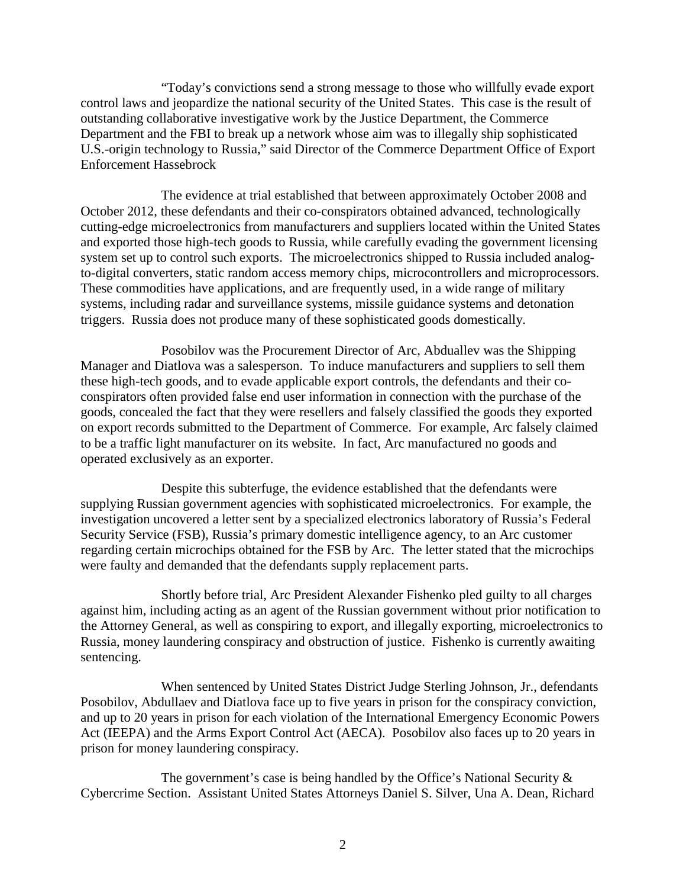"Today's convictions send a strong message to those who willfully evade export control laws and jeopardize the national security of the United States. This case is the result of outstanding collaborative investigative work by the Justice Department, the Commerce Department and the FBI to break up a network whose aim was to illegally ship sophisticated U.S.-origin technology to Russia," said Director of the Commerce Department Office of Export Enforcement Hassebrock

The evidence at trial established that between approximately October 2008 and October 2012, these defendants and their co-conspirators obtained advanced, technologically cutting-edge microelectronics from manufacturers and suppliers located within the United States and exported those high-tech goods to Russia, while carefully evading the government licensing system set up to control such exports. The microelectronics shipped to Russia included analogto-digital converters, static random access memory chips, microcontrollers and microprocessors. These commodities have applications, and are frequently used, in a wide range of military systems, including radar and surveillance systems, missile guidance systems and detonation triggers. Russia does not produce many of these sophisticated goods domestically.

Posobilov was the Procurement Director of Arc, Abduallev was the Shipping Manager and Diatlova was a salesperson. To induce manufacturers and suppliers to sell them these high-tech goods, and to evade applicable export controls, the defendants and their coconspirators often provided false end user information in connection with the purchase of the goods, concealed the fact that they were resellers and falsely classified the goods they exported on export records submitted to the Department of Commerce. For example, Arc falsely claimed to be a traffic light manufacturer on its website. In fact, Arc manufactured no goods and operated exclusively as an exporter.

Despite this subterfuge, the evidence established that the defendants were supplying Russian government agencies with sophisticated microelectronics. For example, the investigation uncovered a letter sent by a specialized electronics laboratory of Russia's Federal Security Service (FSB), Russia's primary domestic intelligence agency, to an Arc customer regarding certain microchips obtained for the FSB by Arc. The letter stated that the microchips were faulty and demanded that the defendants supply replacement parts.

Shortly before trial, Arc President Alexander Fishenko pled guilty to all charges against him, including acting as an agent of the Russian government without prior notification to the Attorney General, as well as conspiring to export, and illegally exporting, microelectronics to Russia, money laundering conspiracy and obstruction of justice. Fishenko is currently awaiting sentencing.

When sentenced by United States District Judge Sterling Johnson, Jr., defendants Posobilov, Abdullaev and Diatlova face up to five years in prison for the conspiracy conviction, and up to 20 years in prison for each violation of the International Emergency Economic Powers Act (IEEPA) and the Arms Export Control Act (AECA). Posobilov also faces up to 20 years in prison for money laundering conspiracy.

The government's case is being handled by the Office's National Security  $\&$ Cybercrime Section. Assistant United States Attorneys Daniel S. Silver, Una A. Dean, Richard